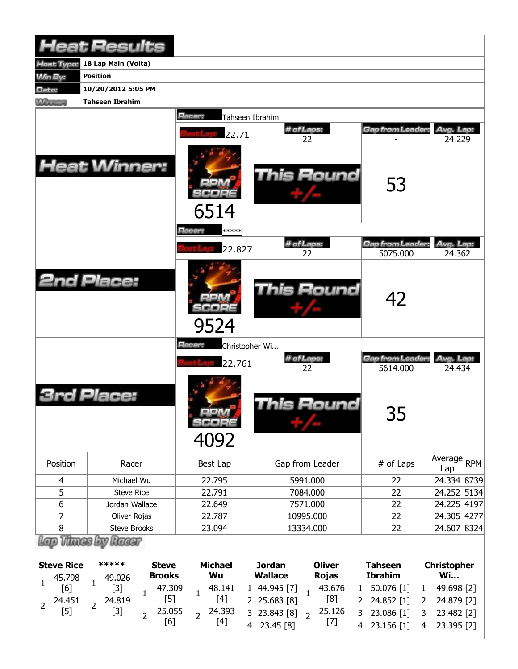|                | <b>Heat Results</b>    |                                    |                  |                                     |                     |
|----------------|------------------------|------------------------------------|------------------|-------------------------------------|---------------------|
| leat Type:     | 18 Lap Main (Volta)    |                                    |                  |                                     |                     |
| <b>Min By:</b> | <b>Position</b>        |                                    |                  |                                     |                     |
| Date:          | 10/20/2012 5:05 PM     |                                    |                  |                                     |                     |
| <b>Winning</b> | <b>Tahseen Ibrahim</b> |                                    |                  |                                     |                     |
|                |                        | Racer:<br>Tahseen Ibrahim<br>22.71 | # of Laps:<br>22 | Gap from Leader:                    | Avg. Lap:<br>24.229 |
|                | <b>Heat Winner:</b>    | 6514                               | This Round       | 53                                  |                     |
|                |                        | Racer:<br>*****                    |                  |                                     |                     |
|                |                        | 22.827                             | # of Laps:<br>22 | <b>Gap from Leader:</b><br>5075.000 | Avg. Lap:<br>24.362 |
|                | <b>2nd Place:</b>      | 9524                               | This Round       | 42                                  |                     |
|                |                        | Racer:<br>Christopher Wi           |                  |                                     |                     |
|                |                        | 22.761                             | # of Laps:<br>22 | Gap from Leader<br>5614.000         | Avg. Lap:<br>24.434 |
|                | Place:                 | <b>MA</b><br>icope<br>4092         | This Round       | 35                                  |                     |
| Position       | Racer                  | Best Lap                           | Gap from Leader  | # of Laps                           | Average RPM<br>Lap  |
| $\overline{4}$ | Michael Wu             | 22.795                             | 5991.000         | 22                                  | 24.334 8739         |
| 5              | <b>Steve Rice</b>      | 22.791                             | 7084.000         | 22                                  | 24.252 5134         |
| 6              | Jordan Wallace         | 22.649                             | 7571.000         | 22                                  | 24.225 4197         |
| $\overline{7}$ | Oliver Rojas           | 22.787                             | 10995.000        | 22                                  | 24.305 4277         |
| 8              | <b>Steve Brooks</b>    | 23.094                             | 13334.000        | 22                                  | 24.607 8324         |
|                | Vitines by Racer       |                                    | ~יינור           |                                     |                     |

| <b>Steve Rice</b>                              | ***** | <b>Steve</b>               | Michael           | <b>Jordan</b>                     | <b>Oliver</b> | <b>Tahseen</b>                                                                                                                                            | <b>Christopher</b> |
|------------------------------------------------|-------|----------------------------|-------------------|-----------------------------------|---------------|-----------------------------------------------------------------------------------------------------------------------------------------------------------|--------------------|
|                                                |       | <b>Brooks</b>              | Wu                | Wallace                           | <b>Rojas</b>  | <b>Ibrahim</b>                                                                                                                                            | <b>Wi</b>          |
| $1 \t 45.798 \t 1 \t 49.026$<br>[6] $1 \t [3]$ |       |                            |                   |                                   |               |                                                                                                                                                           |                    |
| 2  24.451  2  24.819<br>[5]  2  [3]            |       |                            |                   |                                   |               | 47.309   48.141   1 44.945   [7]   43.676   1 50.076   [1]   1 49.698   [2]<br>[5]   1   [4]   2 25.683   [8]   1   [8]   2 24.852   [1]   2 24.879   [2] |                    |
|                                                | $[3]$ | 25.055 <sub>2</sub> 24.393 |                   | 3 23.843 [8] $\rightarrow$ 25.126 |               | 3 23.086 [1] 3 23.482 [2]                                                                                                                                 |                    |
|                                                |       |                            | $\lceil 4 \rceil$ | 4 23.45 [8]                       | [7]           | 4 23.156 [1]                                                                                                                                              | 4 23.395 [2]       |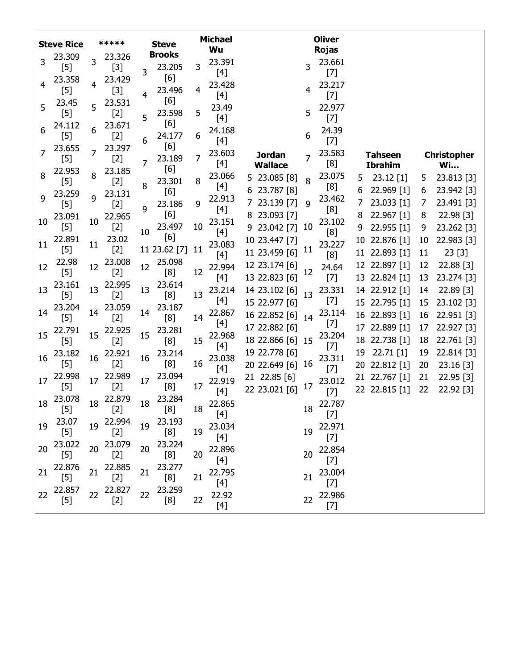|    | <b>Steve Rice</b>                                                                                                                                                                                                  |    | *****           |    | <b>Steve</b>        |    | <b>Michael</b>  |                               |                | <b>Oliver</b>                                                                                                                                                                                              |    |                                |          |                          |
|----|--------------------------------------------------------------------------------------------------------------------------------------------------------------------------------------------------------------------|----|-----------------|----|---------------------|----|-----------------|-------------------------------|----------------|------------------------------------------------------------------------------------------------------------------------------------------------------------------------------------------------------------|----|--------------------------------|----------|--------------------------|
|    | 23.309                                                                                                                                                                                                             |    | 23.326          |    | <b>Brooks</b>       |    | Wu              |                               |                | <b>Rojas</b>                                                                                                                                                                                               |    |                                |          |                          |
| 3  | $[5]$                                                                                                                                                                                                              | 3  | $[3]$           | 3  | 23.205              | 3  | 23.391          |                               | 3              | 23.661                                                                                                                                                                                                     |    |                                |          |                          |
| 4  | 23.358                                                                                                                                                                                                             | 4  | 23.429          |    | [6]                 |    | $[4]$<br>23.428 |                               |                | $[7]$<br>23.217                                                                                                                                                                                            |    |                                |          |                          |
|    | [5]                                                                                                                                                                                                                |    | $[3]$           | 4  | 23.496              | 4  | [4]             |                               | 4              | $[7]$                                                                                                                                                                                                      |    |                                |          |                          |
| 5  | 23.45                                                                                                                                                                                                              | 5  | 23.531          |    | [6]                 |    | 23.49           |                               |                | 22.977                                                                                                                                                                                                     |    |                                |          |                          |
|    | $[5]$                                                                                                                                                                                                              |    | $[2]$           | 5  | 23.598              | 5  | $[4]$           |                               | 5              | $[7]$                                                                                                                                                                                                      |    |                                |          |                          |
| 6  | 24.112                                                                                                                                                                                                             | 6  | 23.671          |    | [6]<br>24.177       | 6  | 24.168          |                               | 6              | 24.39                                                                                                                                                                                                      |    |                                |          |                          |
|    | [5]<br>23.655                                                                                                                                                                                                      |    | $[2]$<br>23.297 | 6  | [6]                 |    | $[4]$           |                               |                | $[7]$                                                                                                                                                                                                      |    |                                |          |                          |
| 7  | $[5]$                                                                                                                                                                                                              | 7  | $[2]$           |    | 23.189              | 7  | 23.603          | <b>Jordan</b>                 | $\overline{7}$ | 23.583                                                                                                                                                                                                     |    | <b>Tahseen</b>                 |          | <b>Christopher</b>       |
|    | 22.953                                                                                                                                                                                                             |    | 23.185          | 7  | [6]                 |    | $[4]$           | <b>Wallace</b>                |                | [8]                                                                                                                                                                                                        |    | <b>Ibrahim</b>                 |          | <b>Wi</b>                |
| 8  | $[5] % \includegraphics[width=0.9\columnwidth]{figures/fig_10.pdf} \caption{The 3D (black) model for the estimators in the left and right. The left and right is the same as in the right.} \label{fig:fig:10}} %$ | 8  | $[2]$           | 8  | 23.301              | 8  | 23.066          | 5 23.085 [8]                  | 8              | 23.075                                                                                                                                                                                                     | 5  | 23.12 [1]                      | 5        | 23.813 [3]               |
| 9  | 23.259                                                                                                                                                                                                             | 9  | 23.131          |    | [6]                 |    | [4]<br>22.913   | 6 23.787 [8]                  |                | [8]<br>23.462                                                                                                                                                                                              | 6  | 22.969 [1]                     | 6        | 23.942 [3]               |
|    | $[5]$                                                                                                                                                                                                              |    | $[2]$           | q  | 23.186              | 9  | $[4]$           | 7 23.139 [7]                  | 9              | [8]                                                                                                                                                                                                        | 7  | 23.033 [1]                     | 7        | 23.491 [3]               |
| 10 | 23.091                                                                                                                                                                                                             | 10 | 22.965          |    | [6]                 |    | 23.151          | 8 23.093 [7]                  |                | 23.102                                                                                                                                                                                                     | 8  | 22.967 [1]                     | 8        | 22.98 [3]                |
|    | $[5] % \includegraphics[width=0.9\columnwidth]{figures/fig_10.pdf} \caption{The 3D (black) model for the estimators in the left and right. The left and right is the same as in the right.} \label{fig:fig:10}} %$ |    | $[2]$           | 10 | 23.497              | 10 | $[4]$           | 9 23.042 [7]                  | 10             | [8]                                                                                                                                                                                                        | 9  | 22.955 [1]                     | 9        | 23.262 [3]               |
| 11 | 22.891                                                                                                                                                                                                             | 11 | 23.02           |    | [6]<br>11 23.62 [7] | 11 | 23.083          | 10 23.447 [7]                 |                | 23.227                                                                                                                                                                                                     | 10 | 22.876 [1]                     | 10       | 22.983 [3]               |
|    | $[5]$<br>22.98                                                                                                                                                                                                     |    | $[2]$<br>23.008 |    | 25.098              |    | $[4]$           | 11 23.459 [6]                 | 11             | [8]                                                                                                                                                                                                        |    | 11 22.893 [1]                  | 11       | 23 [3]                   |
| 12 | $[5] % \includegraphics[width=0.9\columnwidth]{figures/fig_10.pdf} \caption{The 3D (black) model for the estimators in the left and right. The left and right is the same as in the right.} \label{fig:fig:10}} %$ | 12 | $[2]$           | 12 | [8]                 | 12 | 22.994          | 12 23.174 [6]                 | 12             | 24.64                                                                                                                                                                                                      |    | 12 22.897 [1]                  | 12       | 22.88 [3]                |
|    | 23.161                                                                                                                                                                                                             |    | 22.995          |    | 23.614              |    | $[4]$           | 13 22.823 [6]                 |                | $[7]$                                                                                                                                                                                                      | 13 | 22.824 [1]                     | 13       | 23.274 [3]               |
| 13 | $[5]$                                                                                                                                                                                                              | 13 | $[2]$           | 13 | [8]                 | 13 | 23.214<br>$[4]$ | 14 23.102 [6]                 | 13             | 23.331<br>$[7]$                                                                                                                                                                                            |    | 14 22.912 [1]                  | 14       | $22.89$ [3]              |
| 14 | 23.204                                                                                                                                                                                                             | 14 | 23.059          | 14 | 23.187              |    | 22.867          | 15 22.977 [6]                 |                | 23.114                                                                                                                                                                                                     |    | 15 22.795 [1]                  | 15       | 23.102 [3]               |
|    | [5]                                                                                                                                                                                                                |    | $[2]$           |    | [8]                 | 14 | $[4]$           | 16 22.852 [6]                 | 14             | $[7]$                                                                                                                                                                                                      |    | 16 22.893 [1]                  | 16       | 22.951 [3]               |
| 15 | 22.791                                                                                                                                                                                                             | 15 | 22.925          | 15 | 23.281              |    | 22.968          | 17 22.882 [6]                 |                | 23.204                                                                                                                                                                                                     |    | 17 22.889 [1]                  | 17       | 22.927 [3]               |
|    | $[5]$                                                                                                                                                                                                              |    | $[2]$           |    | [8]                 | 15 | $[4]$           | 18 22.866 [6]                 | 15             | $[7]$                                                                                                                                                                                                      |    | 18 22.738 [1]                  | 18       | 22.761 [3]               |
| 16 | 23.182<br>$[5]$                                                                                                                                                                                                    | 16 | 22.921<br>$[2]$ | 16 | 23.214<br>[8]       | 16 | 23.038          | 19 22.778 [6]                 | 16             | 23.311                                                                                                                                                                                                     | 19 | $22.71$ [1]                    | 19       | 22.814 [3]               |
|    | 22.998                                                                                                                                                                                                             |    | 22.989          |    | 23.094              |    | $[4]$           | 20 22.649 [6]<br>21 22.85 [6] |                | $[7]$                                                                                                                                                                                                      |    | 20 22.812 [1]<br>21 22.767 [1] | 20<br>21 | 23.16 [3]<br>$22.95$ [3] |
| 17 | $[5]$                                                                                                                                                                                                              | 17 | $[2]$           | 17 | [8]                 | 17 | 22.919          | 22 23.021 [6]                 | 17             | 23.012                                                                                                                                                                                                     |    | 22 22.815 [1]                  | 22       | 22.92 [3]                |
|    | 23.078                                                                                                                                                                                                             |    | 22.879          |    | 23.284              |    | $[4]$           |                               |                | $[7]$                                                                                                                                                                                                      |    |                                |          |                          |
| 18 | $[5]$                                                                                                                                                                                                              | 18 | $[2]$           | 18 | $[8]$               |    | 18 22.865       |                               |                | 18 22.787<br>$[7]$                                                                                                                                                                                         |    |                                |          |                          |
| 19 | 23.07                                                                                                                                                                                                              | 19 | 22.994          | 19 | 23.193              |    | 23.034          |                               |                | 22.971                                                                                                                                                                                                     |    |                                |          |                          |
|    | $[5]$                                                                                                                                                                                                              |    | $[2]$           |    | [8]                 | 19 | $[4]$           |                               | 19             | $[7]$                                                                                                                                                                                                      |    |                                |          |                          |
| 20 | 23.022                                                                                                                                                                                                             | 20 | 23.079          | 20 | 23.224              |    | 22.896          |                               |                | 22.854                                                                                                                                                                                                     |    |                                |          |                          |
|    | $[5]$                                                                                                                                                                                                              |    | $[2]$           |    | [8]                 | 20 | $[4]$           |                               | 20             | $[7] % \includegraphics[width=0.9\columnwidth]{figures/fig_10.pdf} \caption{The 3D (black) model for the estimators in the left and right. The left and right is the same as in the right.} \label{fig:2}$ |    |                                |          |                          |
| 21 | 22.876<br>$[5]$                                                                                                                                                                                                    | 21 | 22.885<br>$[2]$ | 21 | 23.277<br>[8]       | 21 | 22.795          |                               | 21             | 23.004                                                                                                                                                                                                     |    |                                |          |                          |
|    | 22.857                                                                                                                                                                                                             |    | 22.827          |    | 23.259              |    | $[4]$           |                               |                | $[7]$                                                                                                                                                                                                      |    |                                |          |                          |
| 22 | [5]                                                                                                                                                                                                                | 22 | $[2]$           | 22 | [8]                 | 22 | 22.92           |                               | 22             | 22.986                                                                                                                                                                                                     |    |                                |          |                          |
|    |                                                                                                                                                                                                                    |    |                 |    |                     |    |                 |                               |                | $[7]$                                                                                                                                                                                                      |    |                                |          |                          |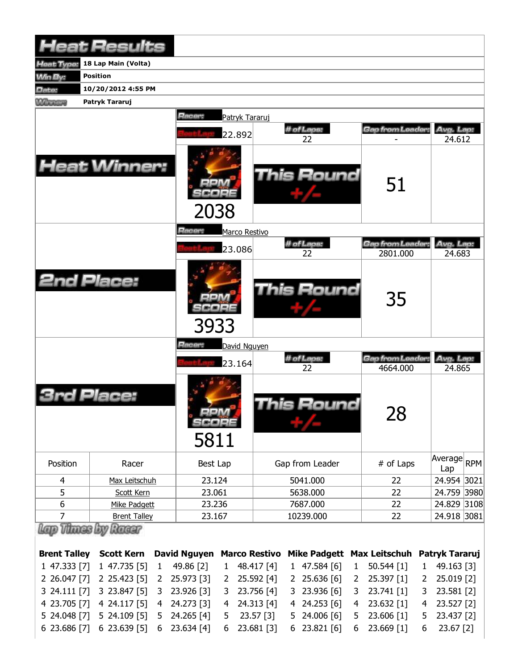| 18 Lap Main (Volta)<br>leat Type:<br><b>Position</b><br>Win By:<br>10/20/2012 4:55 PM<br>Date:<br><b>Winnipeg</b><br>Patryk Tararuj<br>Racer:<br>Patryk Tararuj<br># of Laps:<br>Gap from Leader:<br>Avg. Lap:<br>22.892<br>22<br>24.612<br><b>Heat Winner:</b><br><b>This Round</b><br>51<br>2038<br>Racer:<br>Marco Restivo<br># of Laps:<br>Gap from Leader:<br>Avg. Lap:<br>23.086<br>22<br>2801.000<br>24.683<br><b>2nd Place:</b><br>This Round<br>35<br>3933<br>Racer:<br>David Nguyen<br># of Laps:<br>Gap from Leader<br>Avg. Lap:<br>23.164<br>22<br>4664.000<br>24.865<br>Place:<br><b>This Round</b><br>28<br>m/a<br>scoee<br>5811<br>Average RPM<br>Position<br>Gap from Leader<br># of Laps<br>Racer<br>Best Lap<br>Lap<br>$\overline{4}$<br>23.124<br>5041.000<br>24.954 3021<br>Max Leitschuh<br>22<br>5<br>23.061<br>22<br>24.759 3980<br>5638.000<br>Scott Kern<br>6<br>23.236<br>7687.000<br>22<br>24.829 3108<br>Mike Padgett<br>$\overline{7}$<br>10239.000<br>24.918 3081<br>23.167<br>22<br><b>Brent Talley</b><br>Racer<br>David Nguyen Marco Restivo<br>Patryk Tararuj<br><b>Brent Talley</b><br><b>Scott Kern</b><br>Mike Padgett Max Leitschuh<br>1 47.333 [7]<br>1 47.735 [5]<br>49.86 [2]<br>48.417 [4]<br>49.163 [3]<br>$1$ 47.584 [6]<br>$50.544$ [1]<br>$\mathbf{1}$<br>1<br>$\mathbf{1}$<br>$\mathbf{1}$<br>2 26.047 [7]<br>25.636 [6]<br>2 25.423 [5]<br>25.973 [3]<br>25.592 [4]<br>25.397 [1]<br>25.019 [2]<br>2<br>2 <sup>2</sup><br>2<br>2<br>2<br>3 24.111 [7]<br>3 23.847 [5]<br>23.926 [3]<br>23.756 [4]<br>3 23.936 [6]<br>23.741 [1]<br>23.581 [2]<br>3<br>3<br>3<br>3<br>24.313 [4] |              | <b>Heat Results</b> |   |            |   |  |              |   |            |   |            |
|---------------------------------------------------------------------------------------------------------------------------------------------------------------------------------------------------------------------------------------------------------------------------------------------------------------------------------------------------------------------------------------------------------------------------------------------------------------------------------------------------------------------------------------------------------------------------------------------------------------------------------------------------------------------------------------------------------------------------------------------------------------------------------------------------------------------------------------------------------------------------------------------------------------------------------------------------------------------------------------------------------------------------------------------------------------------------------------------------------------------------------------------------------------------------------------------------------------------------------------------------------------------------------------------------------------------------------------------------------------------------------------------------------------------------------------------------------------------------------------------------------------------------------------------------------------------------------------------------------------------------------|--------------|---------------------|---|------------|---|--|--------------|---|------------|---|------------|
|                                                                                                                                                                                                                                                                                                                                                                                                                                                                                                                                                                                                                                                                                                                                                                                                                                                                                                                                                                                                                                                                                                                                                                                                                                                                                                                                                                                                                                                                                                                                                                                                                                 |              |                     |   |            |   |  |              |   |            |   |            |
|                                                                                                                                                                                                                                                                                                                                                                                                                                                                                                                                                                                                                                                                                                                                                                                                                                                                                                                                                                                                                                                                                                                                                                                                                                                                                                                                                                                                                                                                                                                                                                                                                                 |              |                     |   |            |   |  |              |   |            |   |            |
|                                                                                                                                                                                                                                                                                                                                                                                                                                                                                                                                                                                                                                                                                                                                                                                                                                                                                                                                                                                                                                                                                                                                                                                                                                                                                                                                                                                                                                                                                                                                                                                                                                 |              |                     |   |            |   |  |              |   |            |   |            |
|                                                                                                                                                                                                                                                                                                                                                                                                                                                                                                                                                                                                                                                                                                                                                                                                                                                                                                                                                                                                                                                                                                                                                                                                                                                                                                                                                                                                                                                                                                                                                                                                                                 |              |                     |   |            |   |  |              |   |            |   |            |
|                                                                                                                                                                                                                                                                                                                                                                                                                                                                                                                                                                                                                                                                                                                                                                                                                                                                                                                                                                                                                                                                                                                                                                                                                                                                                                                                                                                                                                                                                                                                                                                                                                 |              |                     |   |            |   |  |              |   |            |   |            |
|                                                                                                                                                                                                                                                                                                                                                                                                                                                                                                                                                                                                                                                                                                                                                                                                                                                                                                                                                                                                                                                                                                                                                                                                                                                                                                                                                                                                                                                                                                                                                                                                                                 |              |                     |   |            |   |  |              |   |            |   |            |
|                                                                                                                                                                                                                                                                                                                                                                                                                                                                                                                                                                                                                                                                                                                                                                                                                                                                                                                                                                                                                                                                                                                                                                                                                                                                                                                                                                                                                                                                                                                                                                                                                                 |              |                     |   |            |   |  |              |   |            |   |            |
|                                                                                                                                                                                                                                                                                                                                                                                                                                                                                                                                                                                                                                                                                                                                                                                                                                                                                                                                                                                                                                                                                                                                                                                                                                                                                                                                                                                                                                                                                                                                                                                                                                 |              |                     |   |            |   |  |              |   |            |   |            |
|                                                                                                                                                                                                                                                                                                                                                                                                                                                                                                                                                                                                                                                                                                                                                                                                                                                                                                                                                                                                                                                                                                                                                                                                                                                                                                                                                                                                                                                                                                                                                                                                                                 |              |                     |   |            |   |  |              |   |            |   |            |
|                                                                                                                                                                                                                                                                                                                                                                                                                                                                                                                                                                                                                                                                                                                                                                                                                                                                                                                                                                                                                                                                                                                                                                                                                                                                                                                                                                                                                                                                                                                                                                                                                                 |              |                     |   |            |   |  |              |   |            |   |            |
|                                                                                                                                                                                                                                                                                                                                                                                                                                                                                                                                                                                                                                                                                                                                                                                                                                                                                                                                                                                                                                                                                                                                                                                                                                                                                                                                                                                                                                                                                                                                                                                                                                 |              |                     |   |            |   |  |              |   |            |   |            |
|                                                                                                                                                                                                                                                                                                                                                                                                                                                                                                                                                                                                                                                                                                                                                                                                                                                                                                                                                                                                                                                                                                                                                                                                                                                                                                                                                                                                                                                                                                                                                                                                                                 |              |                     |   |            |   |  |              |   |            |   |            |
|                                                                                                                                                                                                                                                                                                                                                                                                                                                                                                                                                                                                                                                                                                                                                                                                                                                                                                                                                                                                                                                                                                                                                                                                                                                                                                                                                                                                                                                                                                                                                                                                                                 |              |                     |   |            |   |  |              |   |            |   |            |
|                                                                                                                                                                                                                                                                                                                                                                                                                                                                                                                                                                                                                                                                                                                                                                                                                                                                                                                                                                                                                                                                                                                                                                                                                                                                                                                                                                                                                                                                                                                                                                                                                                 |              |                     |   |            |   |  |              |   |            |   |            |
|                                                                                                                                                                                                                                                                                                                                                                                                                                                                                                                                                                                                                                                                                                                                                                                                                                                                                                                                                                                                                                                                                                                                                                                                                                                                                                                                                                                                                                                                                                                                                                                                                                 |              |                     |   |            |   |  |              |   |            |   |            |
|                                                                                                                                                                                                                                                                                                                                                                                                                                                                                                                                                                                                                                                                                                                                                                                                                                                                                                                                                                                                                                                                                                                                                                                                                                                                                                                                                                                                                                                                                                                                                                                                                                 |              |                     |   |            |   |  |              |   |            |   |            |
|                                                                                                                                                                                                                                                                                                                                                                                                                                                                                                                                                                                                                                                                                                                                                                                                                                                                                                                                                                                                                                                                                                                                                                                                                                                                                                                                                                                                                                                                                                                                                                                                                                 |              |                     |   |            |   |  |              |   |            |   |            |
|                                                                                                                                                                                                                                                                                                                                                                                                                                                                                                                                                                                                                                                                                                                                                                                                                                                                                                                                                                                                                                                                                                                                                                                                                                                                                                                                                                                                                                                                                                                                                                                                                                 |              |                     |   |            |   |  |              |   |            |   |            |
|                                                                                                                                                                                                                                                                                                                                                                                                                                                                                                                                                                                                                                                                                                                                                                                                                                                                                                                                                                                                                                                                                                                                                                                                                                                                                                                                                                                                                                                                                                                                                                                                                                 |              |                     |   |            |   |  |              |   |            |   |            |
|                                                                                                                                                                                                                                                                                                                                                                                                                                                                                                                                                                                                                                                                                                                                                                                                                                                                                                                                                                                                                                                                                                                                                                                                                                                                                                                                                                                                                                                                                                                                                                                                                                 |              |                     |   |            |   |  |              |   |            |   |            |
|                                                                                                                                                                                                                                                                                                                                                                                                                                                                                                                                                                                                                                                                                                                                                                                                                                                                                                                                                                                                                                                                                                                                                                                                                                                                                                                                                                                                                                                                                                                                                                                                                                 |              |                     |   |            |   |  |              |   |            |   |            |
|                                                                                                                                                                                                                                                                                                                                                                                                                                                                                                                                                                                                                                                                                                                                                                                                                                                                                                                                                                                                                                                                                                                                                                                                                                                                                                                                                                                                                                                                                                                                                                                                                                 |              |                     |   |            |   |  |              |   |            |   |            |
|                                                                                                                                                                                                                                                                                                                                                                                                                                                                                                                                                                                                                                                                                                                                                                                                                                                                                                                                                                                                                                                                                                                                                                                                                                                                                                                                                                                                                                                                                                                                                                                                                                 |              |                     |   |            |   |  |              |   |            |   |            |
|                                                                                                                                                                                                                                                                                                                                                                                                                                                                                                                                                                                                                                                                                                                                                                                                                                                                                                                                                                                                                                                                                                                                                                                                                                                                                                                                                                                                                                                                                                                                                                                                                                 |              |                     |   |            |   |  |              |   |            |   |            |
|                                                                                                                                                                                                                                                                                                                                                                                                                                                                                                                                                                                                                                                                                                                                                                                                                                                                                                                                                                                                                                                                                                                                                                                                                                                                                                                                                                                                                                                                                                                                                                                                                                 |              |                     |   |            |   |  |              |   |            |   |            |
|                                                                                                                                                                                                                                                                                                                                                                                                                                                                                                                                                                                                                                                                                                                                                                                                                                                                                                                                                                                                                                                                                                                                                                                                                                                                                                                                                                                                                                                                                                                                                                                                                                 |              |                     |   |            |   |  |              |   |            |   |            |
|                                                                                                                                                                                                                                                                                                                                                                                                                                                                                                                                                                                                                                                                                                                                                                                                                                                                                                                                                                                                                                                                                                                                                                                                                                                                                                                                                                                                                                                                                                                                                                                                                                 | 4 23.705 [7] | 4 24.117 [5]        | 4 | 24.273 [3] | 4 |  | 4 24.253 [6] | 4 | 23.632 [1] | 4 | 23.527 [2] |

5 24.048 [7] 6 23.686 [7] 5 24.109 [5] 6 23.639 [5] 5 24.265 [4] 6 23.634 [4] 5 23.57 [3] 6 23.681 [3] 5 24.006 [6] 6 23.821 [6] 5 23.606 [1] 6 23.669 [1] 5 23.437 [2] 6 23.67 [2]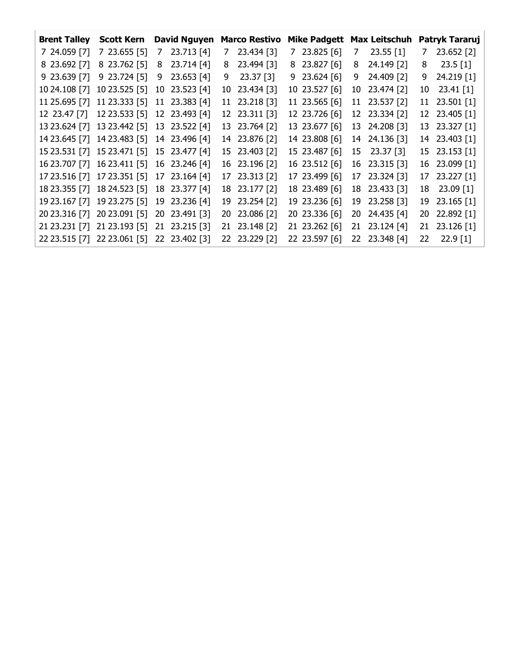| <b>Brent Talley</b>         | <b>Scott Kern</b>           |   | <b>David Nguyen</b> |   | <b>Marco Restivo</b> | <b>Mike Padgett</b> |   | <b>Max Leitschuh</b> | Patryk Tararuj |               |  |
|-----------------------------|-----------------------------|---|---------------------|---|----------------------|---------------------|---|----------------------|----------------|---------------|--|
| 7 24.059 [7]                | $723.655$ [5]               | 7 | 23.713 [4]          | 7 | 23.434 [3]           | $7$ 23.825 [6]      | 7 | $23.55$ [1]          | 7              | 23.652 [2]    |  |
| 8 23.692 [7]                | 8 23.762 [5]                | 8 | 23.714 [4]          | 8 | 23.494 [3]           | 8 23.827 [6]        | 8 | 24.149 [2]           | 8              | 23.5 [1]      |  |
| 923.639 [7]                 | 9 23.724 [5]                | 9 | 23.653 [4]          | 9 | 23.37 [3]            | $9$ 23.624 [6]      | 9 | 24.409 [2]           |                | 9 24.219 [1]  |  |
| 10 24.108 [7] 10 23.525 [5] |                             |   | 10 23.523 [4]       |   | 10 23.434 [3]        | 10 23.527 [6]       |   | 10 23.474 [2]        |                | 10 23.41 [1]  |  |
| 11 25.695 [7] 11 23.333 [5] |                             |   | 11 23.383 [4]       |   | 11 23.218 [3]        | 11 23.565 [6]       |   | 11 23.537 [2]        |                | 11 23.501 [1] |  |
|                             | 12 23.47 [7] 12 23.533 [5]  |   | 12 23.493 [4]       |   | 12 23.311 [3]        | 12 23.726 [6]       |   | 12 23.334 [2]        |                | 12 23.405 [1] |  |
|                             | 13 23.624 [7] 13 23.442 [5] |   | 13 23.522 [4]       |   | 13 23.764 [2]        | 13 23.677 [6]       |   | 13 24.208 [3]        |                | 13 23.327 [1] |  |
|                             | 14 23.645 [7] 14 23.483 [5] |   | 14 23.496 [4]       |   | 14 23.876 [2]        | 14 23.808 [6]       |   | 14 24.136 [3]        |                | 14 23.403 [1] |  |
|                             | 15 23.531 [7] 15 23.471 [5] |   | 15 23.477 [4]       |   | 15 23.403 [2]        | 15 23.487 [6]       |   | 15 23.37 [3]         |                | 15 23.153 [1] |  |
|                             | 16 23.707 [7] 16 23.411 [5] |   | 16 23.246 [4]       |   | 16 23.196 [2]        | 16 23.512 [6]       |   | 16 23.315 [3]        |                | 16 23.099 [1] |  |
|                             | 17 23.516 [7] 17 23.351 [5] |   | 17 23.164 [4]       |   | 17 23.313 [2]        | 17 23.499 [6]       |   | 17 23.324 [3]        |                | 17 23.227 [1] |  |
|                             | 18 23.355 [7] 18 24.523 [5] |   | 18 23.377 [4]       |   | 18 23.177 [2]        | 18 23.489 [6]       |   | 18 23.433 [3]        |                | 18 23.09 [1]  |  |
|                             | 19 23.167 [7] 19 23.275 [5] |   | 19 23.236 [4]       |   | 19 23.254 [2]        | 19 23.236 [6]       |   | 19 23.258 [3]        |                | 19 23.165 [1] |  |
| 20 23.316 [7] 20 23.091 [5] |                             |   | 20 23.491 [3]       |   | 20 23.086 [2]        | 20 23.336 [6]       |   | 20 24.435 [4]        |                | 20 22.892 [1] |  |
|                             | 21 23.231 [7] 21 23.193 [5] |   | 21 23.215 [3]       |   | 21 23.148 [2]        | 21 23.262 [6]       |   | 21 23.124 [4]        |                | 21 23.126 [1] |  |
|                             | 22 23.515 [7] 22 23.061 [5] |   | 22 23.402 [3]       |   | 22 23.229 [2]        | 22 23.597 [6]       |   | 22 23.348 [4]        | 22.            | $22.9$ [1]    |  |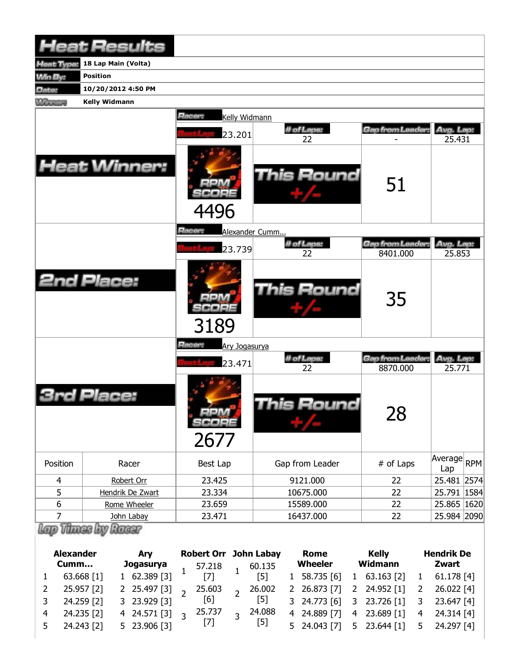|                | <b>Heat Results</b>  |                                 |                   |                                    |                     |
|----------------|----------------------|---------------------------------|-------------------|------------------------------------|---------------------|
| leat Type:     | 18 Lap Main (Volta)  |                                 |                   |                                    |                     |
| <b>Min By:</b> | <b>Position</b>      |                                 |                   |                                    |                     |
| Date:          | 10/20/2012 4:50 PM   |                                 |                   |                                    |                     |
| <b>Winning</b> | <b>Kelly Widmann</b> |                                 |                   |                                    |                     |
|                |                      | Racer:<br>Kelly Widmann         |                   |                                    |                     |
|                |                      | 23.201                          | # of Laps:<br>22  | Gap from Leader:                   | Avg. Lap:<br>25.431 |
|                | <b>Heat Winner:</b>  | 4496                            | <b>This Round</b> | 51                                 |                     |
|                |                      | <b>Racer:</b><br>Alexander Cumm |                   |                                    |                     |
|                |                      |                                 | # of Laps:        | Gap from Leader:                   | Avg. Lap:           |
|                |                      | 23.739                          | 22                | 8401.000                           | 25.853              |
|                | <b>2nd Place:</b>    | 3189                            | <b>This Round</b> | 35                                 |                     |
|                |                      | Racer:<br>Ary Jogasurya         |                   |                                    |                     |
|                |                      | 23.471                          | # of Laps:<br>22  | <b>Gap from Leader</b><br>8870.000 | Avg. Lap:<br>25.771 |
|                | Place:               | <b>MA 14</b><br>SCOPE<br>2677   | This Round        | 28                                 |                     |
| Position       | Racer                | Best Lap                        | Gap from Leader   | # of Laps                          | Average RPM<br>Lap  |
| 4              | Robert Orr           | 23.425                          | 9121.000          | 22                                 | 25.481 2574         |
| 5              | Hendrik De Zwart     | 23.334                          | 10675.000         | 22                                 | 25.791   1584       |
| 6              | Rome Wheeler         | 23.659                          | 15589.000         | 22                                 | 25.865 1620         |
| 7              | John Labay           | 23.471                          | 16437.000         | 22                                 | 25.984 2090         |
|                | Thues by Racer       |                                 |                   |                                    |                     |

|                | <b>Alexander</b><br>Cumm | <b>Ary</b>                                                                         | <b>Robert Orr John Labay</b> |     | Rome<br>Wheeler | Kelly<br>Widmann                                                      | <b>Hendrik De</b><br>Zwart |
|----------------|--------------------------|------------------------------------------------------------------------------------|------------------------------|-----|-----------------|-----------------------------------------------------------------------|----------------------------|
|                |                          |                                                                                    |                              |     |                 |                                                                       |                            |
| 1              | 63.668 [1]               | <b>Jogasurya</b> 57.218 1 60.135<br>1 62.389 [3] <sup>1</sup> [7] <sup>1</sup> [5] |                              |     |                 | 1 58.735 [6] 1 63.163 [2] 1 61.178 [4]                                |                            |
| 2              | 25.957 [2]               |                                                                                    |                              |     |                 | 2 25.497 [3] 2 25.603 2 26.002 2 26.873 [7] 2 24.952 [1] 2 26.022 [4] |                            |
| $\mathbf{3}$   | 24.259 [2]               | 3 23.929 [3]                                                                       | [6]                          | [5] |                 | 3 24.773 [6] 3 23.726 [1] 3 23.647 [4]                                |                            |
| $\overline{4}$ | 24.235 [2]               | 4 24.571 [3] $3^{25.737}$ $3^{24.088}$<br>5 23 906 [3] [7] [5]                     |                              |     |                 | 4 24.889 [7] 4 23.689 [1] 4 24.314 [4]                                |                            |
|                | $5$ 24.243 [2]           | 5 23.906 [3]                                                                       |                              |     |                 | 5 24.043 [7] 5 23.644 [1] 5 24.297 [4]                                |                            |